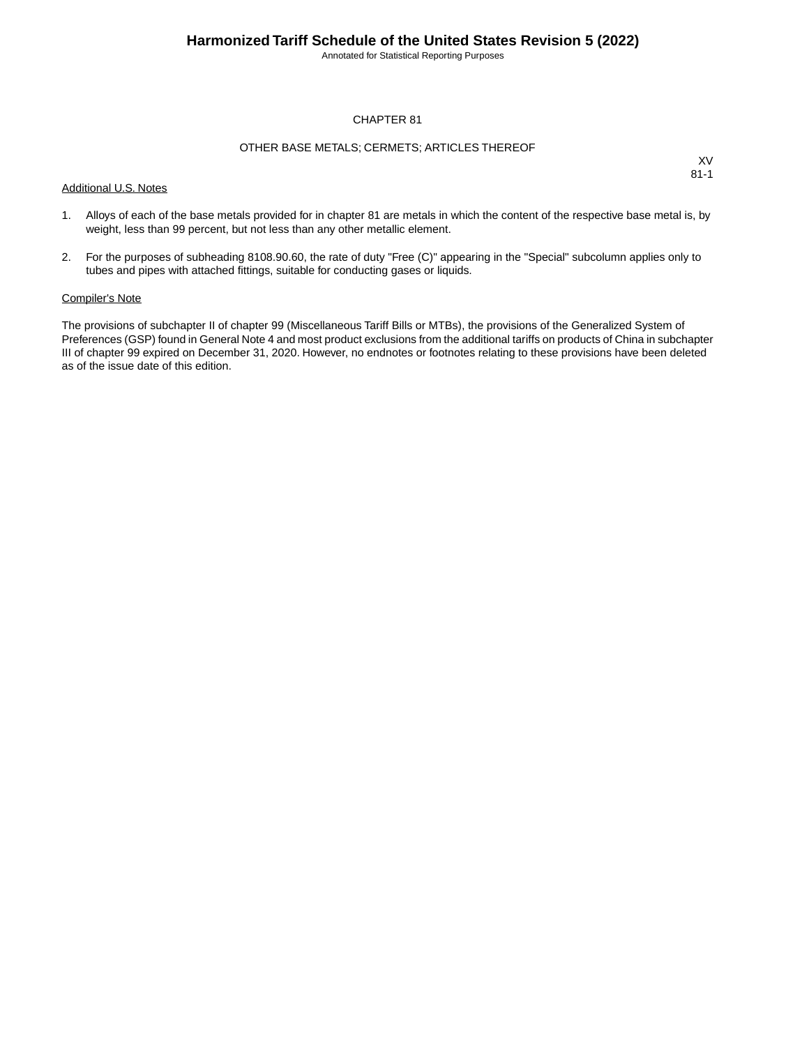Annotated for Statistical Reporting Purposes

#### CHAPTER 81

#### OTHER BASE METALS; CERMETS; ARTICLES THEREOF

Additional U.S. Notes

XV 81-1

- 1. Alloys of each of the base metals provided for in chapter 81 are metals in which the content of the respective base metal is, by weight, less than 99 percent, but not less than any other metallic element.
- 2. For the purposes of subheading 8108.90.60, the rate of duty "Free (C)" appearing in the "Special" subcolumn applies only to tubes and pipes with attached fittings, suitable for conducting gases or liquids.

#### Compiler's Note

The provisions of subchapter II of chapter 99 (Miscellaneous Tariff Bills or MTBs), the provisions of the Generalized System of Preferences (GSP) found in General Note 4 and most product exclusions from the additional tariffs on products of China in subchapter III of chapter 99 expired on December 31, 2020. However, no endnotes or footnotes relating to these provisions have been deleted as of the issue date of this edition.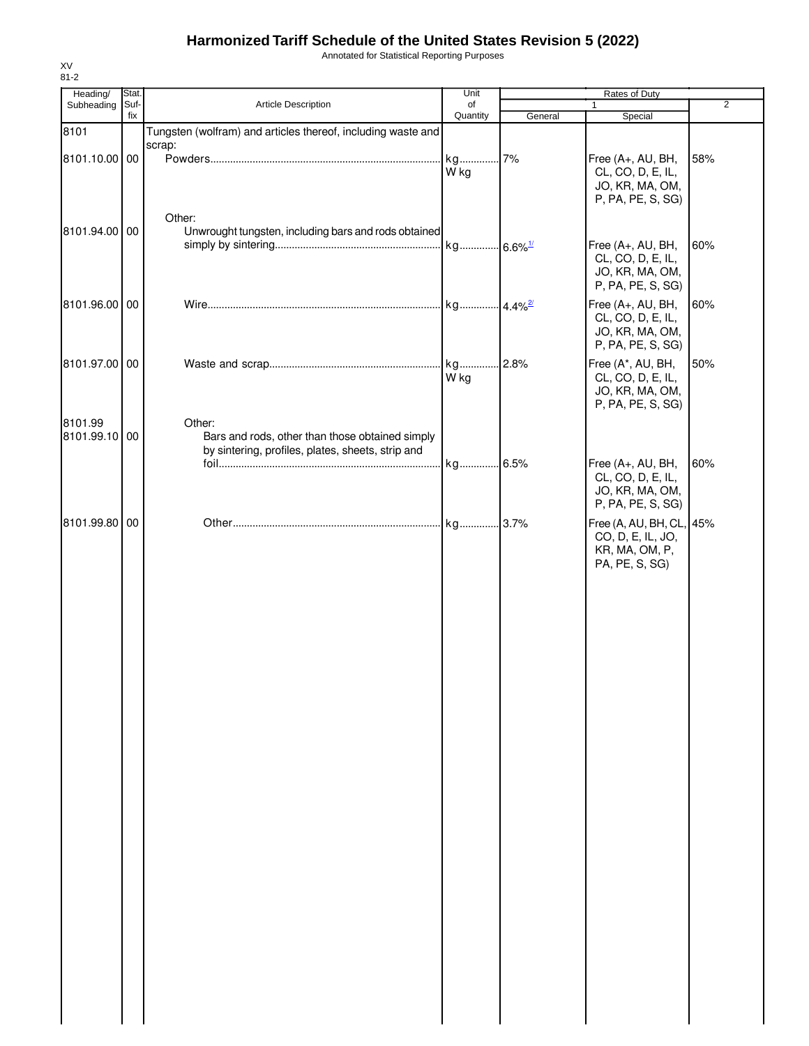Annotated for Statistical Reporting Purposes

| Heading/                 | Stat.       |                                                                                                                | Unit           | Rates of Duty |                                                                                   |                |
|--------------------------|-------------|----------------------------------------------------------------------------------------------------------------|----------------|---------------|-----------------------------------------------------------------------------------|----------------|
| Subheading               | Suf-<br>fix | Article Description                                                                                            | of<br>Quantity | General       | $\mathbf{1}$<br>Special                                                           | $\overline{2}$ |
| 8101                     |             | Tungsten (wolfram) and articles thereof, including waste and                                                   |                |               |                                                                                   |                |
| 8101.10.00 00            |             | scrap:                                                                                                         | kg 7%<br>W kg  |               | Free (A+, AU, BH,<br>CL, CO, D, E, IL,<br>JO, KR, MA, OM,<br>P, PA, PE, S, SG)    | 58%            |
| 8101.94.00 00            |             | Other:<br>Unwrought tungsten, including bars and rods obtained                                                 |                |               | Free (A+, AU, BH,<br>CL, CO, D, E, IL,<br>JO, KR, MA, OM,<br>P, PA, PE, S, SG)    | 60%            |
| 8101.96.00 00            |             |                                                                                                                |                |               | Free (A+, AU, BH,<br>CL, CO, D, E, IL,<br>JO, KR, MA, OM,<br>P, PA, PE, S, SG)    | 60%            |
| 8101.97.00 00            |             |                                                                                                                | W kg           |               | Free (A*, AU, BH,<br>CL, CO, D, E, IL,<br>JO, KR, MA, OM,<br>P, PA, PE, S, SG)    | 50%            |
| 8101.99<br>8101.99.10 00 |             | Other:<br>Bars and rods, other than those obtained simply<br>by sintering, profiles, plates, sheets, strip and |                |               | Free (A+, AU, BH,                                                                 | 60%            |
|                          |             |                                                                                                                |                |               | CL, CO, D, E, IL,<br>JO, KR, MA, OM,<br>P, PA, PE, S, SG)                         |                |
| 8101.99.80 00            |             |                                                                                                                |                |               | Free (A, AU, BH, CL, 45%<br>CO, D, E, IL, JO,<br>KR, MA, OM, P,<br>PA, PE, S, SG) |                |
|                          |             |                                                                                                                |                |               |                                                                                   |                |
|                          |             |                                                                                                                |                |               |                                                                                   |                |
|                          |             |                                                                                                                |                |               |                                                                                   |                |
|                          |             |                                                                                                                |                |               |                                                                                   |                |
|                          |             |                                                                                                                |                |               |                                                                                   |                |
|                          |             |                                                                                                                |                |               |                                                                                   |                |
|                          |             |                                                                                                                |                |               |                                                                                   |                |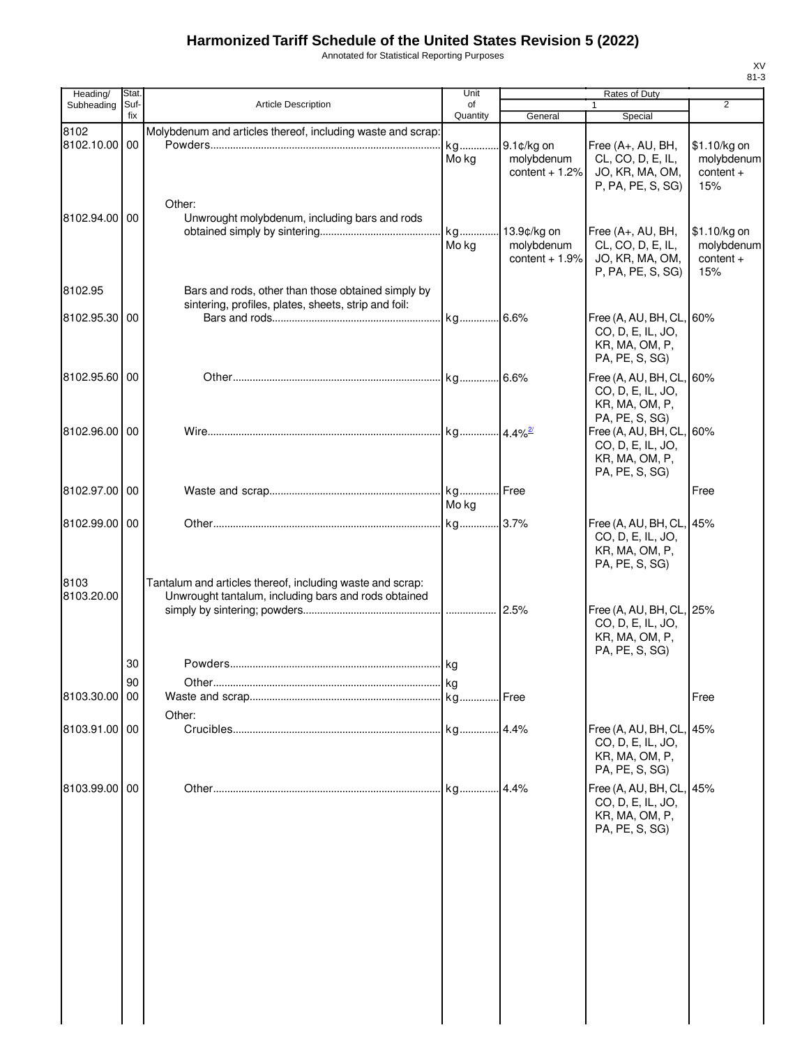Annotated for Statistical Reporting Purposes

| Heading/              | <b>Stat</b> |                                                                                                                   | Unit           |                                              | Rates of Duty                                                                     |                                                  |
|-----------------------|-------------|-------------------------------------------------------------------------------------------------------------------|----------------|----------------------------------------------|-----------------------------------------------------------------------------------|--------------------------------------------------|
| Subheading            | Suf-<br>fix | Article Description                                                                                               | of<br>Quantity | General                                      | $\mathbf{1}$<br>Special                                                           | $\overline{2}$                                   |
| 8102<br>8102.10.00 00 |             | Molybdenum and articles thereof, including waste and scrap:                                                       | kg<br>Mo kg    | 9.1¢/kg on<br>molybdenum<br>content $+1.2%$  | Free (A+, AU, BH,<br>CL, CO, D, E, IL,<br>JO, KR, MA, OM,<br>P, PA, PE, S, SG)    | \$1.10/kg on<br>molybdenum<br>$content +$<br>15% |
| 8102.94.00 00         |             | Other:<br>Unwrought molybdenum, including bars and rods                                                           | kg<br>Mo kg    | 13.9¢/kg on<br>molybdenum<br>content $+1.9%$ | Free (A+, AU, BH,<br>CL, CO, D, E, IL,<br>JO, KR, MA, OM,<br>P, PA, PE, S, SG)    | \$1.10/kg on<br>molybdenum<br>$content +$<br>15% |
| 8102.95               |             | Bars and rods, other than those obtained simply by                                                                |                |                                              |                                                                                   |                                                  |
| 8102.95.30 00         |             | sintering, profiles, plates, sheets, strip and foil:                                                              |                |                                              | Free (A, AU, BH, CL, 60%<br>CO, D, E, IL, JO,<br>KR, MA, OM, P,<br>PA, PE, S, SG) |                                                  |
| 8102.95.60 00         |             |                                                                                                                   |                |                                              | Free (A, AU, BH, CL, 60%<br>CO, D, E, IL, JO,<br>KR, MA, OM, P,<br>PA, PE, S, SG) |                                                  |
| 8102.96.00 00         |             |                                                                                                                   |                |                                              | Free (A, AU, BH, CL, 60%<br>CO, D, E, IL, JO,<br>KR, MA, OM, P,<br>PA, PE, S, SG) |                                                  |
| 8102.97.00 00         |             |                                                                                                                   | Mo kg          |                                              |                                                                                   | Free                                             |
| 8102.99.00 00         |             |                                                                                                                   |                |                                              | Free (A, AU, BH, CL, 45%<br>CO, D, E, IL, JO,<br>KR, MA, OM, P,<br>PA, PE, S, SG) |                                                  |
| 8103<br>8103.20.00    |             | Tantalum and articles thereof, including waste and scrap:<br>Unwrought tantalum, including bars and rods obtained |                | 2.5%                                         | Free (A, AU, BH, CL, 25%<br>CO, D, E, IL, JO,<br>KR, MA, OM, P,                   |                                                  |
|                       | 30          |                                                                                                                   |                |                                              | PA, PE, S, SG)                                                                    |                                                  |
|                       | 90          |                                                                                                                   |                |                                              |                                                                                   |                                                  |
| 8103.30.00 00         |             |                                                                                                                   |                |                                              |                                                                                   | Free                                             |
| 8103.91.00 00         |             | Other:                                                                                                            |                |                                              | Free (A, AU, BH, CL, 45%<br>CO, D, E, IL, JO,<br>KR, MA, OM, P,<br>PA, PE, S, SG) |                                                  |
| 8103.99.00 00         |             |                                                                                                                   |                | 14.4%                                        | Free (A, AU, BH, CL, 45%<br>CO, D, E, IL, JO,<br>KR, MA, OM, P,<br>PA, PE, S, SG) |                                                  |
|                       |             |                                                                                                                   |                |                                              |                                                                                   |                                                  |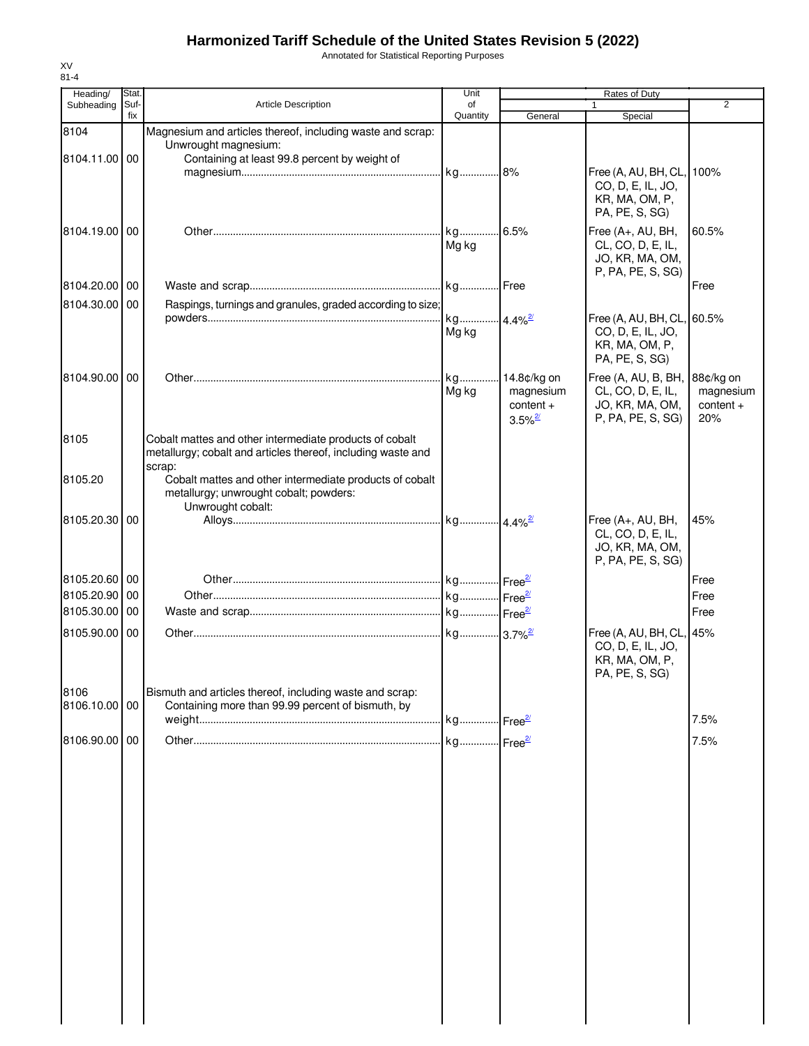Annotated for Statistical Reporting Purposes

| Heading/              | Stat.       |                                                                                                               | Unit                  |                       | Rates of Duty                             |             |
|-----------------------|-------------|---------------------------------------------------------------------------------------------------------------|-----------------------|-----------------------|-------------------------------------------|-------------|
| Subheading            | Suf-<br>fix | <b>Article Description</b>                                                                                    | of<br>Quantity        | General               | $\mathbf{1}$<br>Special                   | 2           |
| 8104                  |             | Magnesium and articles thereof, including waste and scrap:                                                    |                       |                       |                                           |             |
|                       |             | Unwrought magnesium:                                                                                          |                       |                       |                                           |             |
| 8104.11.00 00         |             | Containing at least 99.8 percent by weight of                                                                 |                       |                       |                                           |             |
|                       |             |                                                                                                               |                       |                       | Free (A, AU, BH, CL,<br>CO, D, E, IL, JO, | 100%        |
|                       |             |                                                                                                               |                       |                       | KR, MA, OM, P,                            |             |
|                       |             |                                                                                                               |                       |                       | PA, PE, S, SG)                            |             |
| 8104.19.00 00         |             |                                                                                                               |                       |                       | Free (A+, AU, BH,                         | 60.5%       |
|                       |             |                                                                                                               | Mg kg                 |                       | CL, CO, D, E, IL,                         |             |
|                       |             |                                                                                                               |                       |                       | JO, KR, MA, OM,<br>P, PA, PE, S, SG)      |             |
| 8104.20.00 00         |             |                                                                                                               |                       |                       |                                           | Free        |
| 8104.30.00 00         |             | Raspings, turnings and granules, graded according to size;                                                    |                       |                       |                                           |             |
|                       |             |                                                                                                               | kg 4.4% <sup>2/</sup> |                       | Free (A, AU, BH, CL, 60.5%                |             |
|                       |             |                                                                                                               | Mg kg                 |                       | CO, D, E, IL, JO,                         |             |
|                       |             |                                                                                                               |                       |                       | KR, MA, OM, P,<br>PA, PE, S, SG)          |             |
| 8104.90.00 00         |             |                                                                                                               | kg                    | 14.8¢/kg on           | Free (A, AU, B, BH,                       | 88¢/kg on   |
|                       |             |                                                                                                               | Mg kg                 | magnesium             | CL, CO, D, E, IL,                         | magnesium   |
|                       |             |                                                                                                               |                       | $content +$           | JO, KR, MA, OM,                           | $content +$ |
|                       |             |                                                                                                               |                       | $3.5\%$ <sup>2/</sup> | P, PA, PE, S, SG)                         | 20%         |
| 8105                  |             | Cobalt mattes and other intermediate products of cobalt                                                       |                       |                       |                                           |             |
|                       |             | metallurgy; cobalt and articles thereof, including waste and                                                  |                       |                       |                                           |             |
| 8105.20               |             | scrap:<br>Cobalt mattes and other intermediate products of cobalt                                             |                       |                       |                                           |             |
|                       |             | metallurgy; unwrought cobalt; powders:                                                                        |                       |                       |                                           |             |
|                       |             | Unwrought cobalt:                                                                                             |                       |                       |                                           |             |
| 8105.20.30 00         |             |                                                                                                               |                       |                       | Free (A+, AU, BH,                         | 45%         |
|                       |             |                                                                                                               |                       |                       | CL, CO, D, E, IL,<br>JO, KR, MA, OM,      |             |
|                       |             |                                                                                                               |                       |                       | P, PA, PE, S, SG)                         |             |
| 8105.20.60 00         |             |                                                                                                               |                       |                       |                                           | Free        |
| 8105.20.90            | 00          |                                                                                                               |                       |                       |                                           | Free        |
| 8105.30.00 00         |             |                                                                                                               |                       |                       |                                           | Free        |
| 8105.90.00 00         |             |                                                                                                               |                       |                       | Free (A, AU, BH, CL, 45%                  |             |
|                       |             |                                                                                                               |                       |                       | CO, D, E, IL, JO,                         |             |
|                       |             |                                                                                                               |                       |                       | KR, MA, OM, P,                            |             |
|                       |             |                                                                                                               |                       |                       | PA, PE, S, SG)                            |             |
| 8106<br>8106.10.00 00 |             | Bismuth and articles thereof, including waste and scrap:<br>Containing more than 99.99 percent of bismuth, by |                       |                       |                                           |             |
|                       |             |                                                                                                               |                       |                       |                                           | 7.5%        |
| 8106.90.00 00         |             |                                                                                                               |                       |                       |                                           | 7.5%        |
|                       |             |                                                                                                               |                       |                       |                                           |             |
|                       |             |                                                                                                               |                       |                       |                                           |             |
|                       |             |                                                                                                               |                       |                       |                                           |             |
|                       |             |                                                                                                               |                       |                       |                                           |             |
|                       |             |                                                                                                               |                       |                       |                                           |             |
|                       |             |                                                                                                               |                       |                       |                                           |             |
|                       |             |                                                                                                               |                       |                       |                                           |             |
|                       |             |                                                                                                               |                       |                       |                                           |             |
|                       |             |                                                                                                               |                       |                       |                                           |             |
|                       |             |                                                                                                               |                       |                       |                                           |             |
|                       |             |                                                                                                               |                       |                       |                                           |             |
|                       |             |                                                                                                               |                       |                       |                                           |             |
|                       |             |                                                                                                               |                       |                       |                                           |             |
|                       |             |                                                                                                               |                       |                       |                                           |             |
|                       |             |                                                                                                               |                       |                       |                                           |             |
|                       |             |                                                                                                               |                       |                       |                                           |             |
|                       |             |                                                                                                               |                       |                       |                                           |             |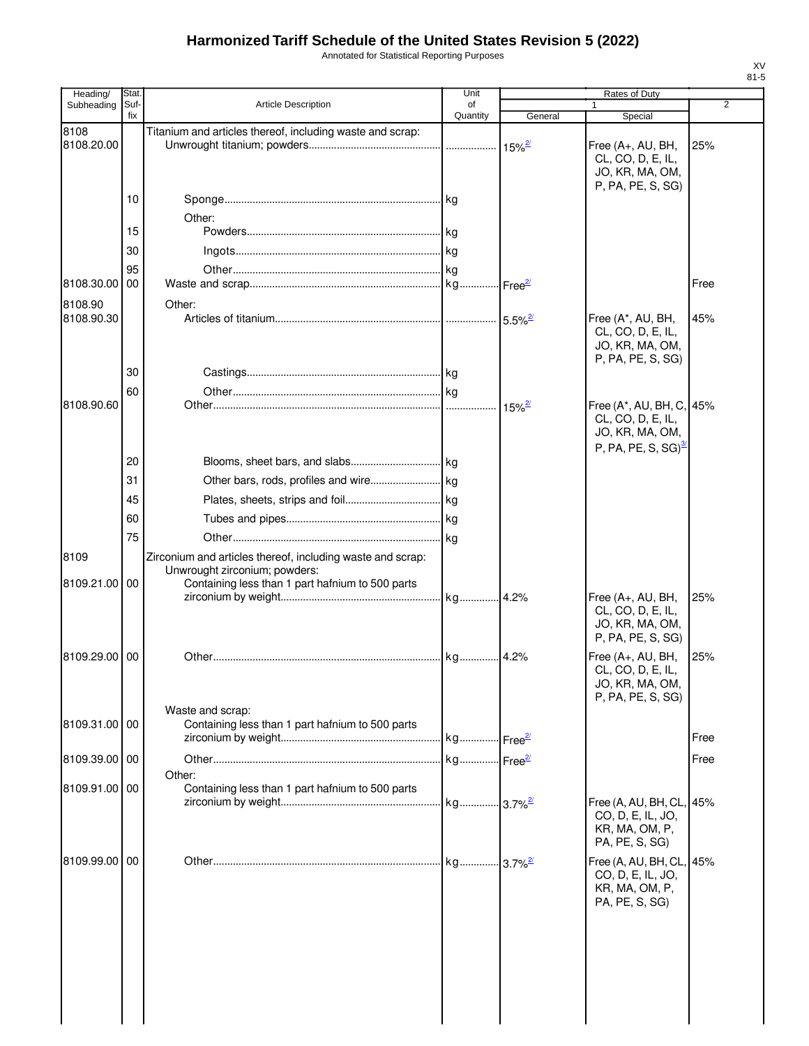Annotated for Statistical Reporting Purposes

| Heading/      | <b>Stat</b> |                                                            | Unit           |                       | <b>Rates of Duty</b>                   |                |
|---------------|-------------|------------------------------------------------------------|----------------|-----------------------|----------------------------------------|----------------|
| Subheading    | Suf-<br>fix | <b>Article Description</b>                                 | of<br>Quantity | General               | 1<br>Special                           | $\overline{2}$ |
| 8108          |             | Titanium and articles thereof, including waste and scrap:  |                |                       |                                        |                |
| 8108.20.00    |             |                                                            |                | $15\%$ <sup>2/</sup>  | Free (A+, AU, BH,                      | 25%            |
|               |             |                                                            |                |                       | CL, CO, D, E, IL,                      |                |
|               |             |                                                            |                |                       | JO, KR, MA, OM,<br>P, PA, PE, S, SG)   |                |
|               | 10          |                                                            |                |                       |                                        |                |
|               |             | Other:                                                     |                |                       |                                        |                |
|               | 15          |                                                            |                |                       |                                        |                |
|               | 30          |                                                            |                |                       |                                        |                |
|               | 95          |                                                            |                |                       |                                        |                |
| 8108.30.00    | 00          |                                                            |                | Free <sup>2/</sup>    |                                        | Free           |
| 8108.90       |             | Other:                                                     |                |                       |                                        |                |
| 8108.90.30    |             |                                                            |                | $5.5\%$ <sup>2/</sup> | Free (A*, AU, BH,                      | 45%            |
|               |             |                                                            |                |                       | CL, CO, D, E, IL,                      |                |
|               |             |                                                            |                |                       | JO, KR, MA, OM,                        |                |
|               | 30          |                                                            |                |                       | P, PA, PE, S, SG)                      |                |
|               | 60          |                                                            |                |                       |                                        |                |
| 8108.90.60    |             |                                                            |                | $15\%$ <sup>2/</sup>  | Free (A*, AU, BH, C, 45%               |                |
|               |             |                                                            |                |                       | CL, CO, D, E, IL,                      |                |
|               |             |                                                            |                |                       | JO, KR, MA, OM,                        |                |
|               |             |                                                            |                |                       | P, PA, PE, S, SG) $^{\frac{3}{2}}$     |                |
|               | 20          |                                                            |                |                       |                                        |                |
|               | 31          |                                                            |                |                       |                                        |                |
|               | 45          |                                                            |                |                       |                                        |                |
|               | 60          |                                                            |                |                       |                                        |                |
|               | 75          |                                                            |                |                       |                                        |                |
| 8109          |             | Zirconium and articles thereof, including waste and scrap: |                |                       |                                        |                |
|               |             | Unwrought zirconium; powders:                              |                |                       |                                        |                |
| 8109.21.00 00 |             | Containing less than 1 part hafnium to 500 parts           |                |                       |                                        |                |
|               |             |                                                            | kg 4.2%        |                       | Free (A+, AU, BH,<br>CL, CO, D, E, IL, | 25%            |
|               |             |                                                            |                |                       | JO, KR, MA, OM,                        |                |
|               |             |                                                            |                |                       | P, PA, PE, S, SG)                      |                |
| 8109.29.00    | 00          |                                                            | kg             | 4.2%                  | Free (A+, AU, BH,                      | 25%            |
|               |             |                                                            |                |                       | CL, CO, D, E, IL,                      |                |
|               |             |                                                            |                |                       | JO, KR, MA, OM,<br>P, PA, PE, S, SG)   |                |
|               |             | Waste and scrap:                                           |                |                       |                                        |                |
| 8109.31.00 00 |             | Containing less than 1 part hafnium to 500 parts           |                |                       |                                        |                |
|               |             |                                                            |                |                       |                                        | Free           |
| 8109.39.00 00 |             |                                                            |                |                       |                                        | Free           |
|               |             | Other:                                                     |                |                       |                                        |                |
| 8109.91.00 00 |             | Containing less than 1 part hafnium to 500 parts           |                |                       | Free (A, AU, BH, CL, 45%               |                |
|               |             |                                                            |                |                       | CO, D, E, IL, JO,                      |                |
|               |             |                                                            |                |                       | KR, MA, OM, P,                         |                |
|               |             |                                                            |                |                       | PA, PE, S, SG)                         |                |
| 8109.99.00 00 |             |                                                            |                |                       | Free (A, AU, BH, CL, 45%               |                |
|               |             |                                                            |                |                       | CO, D, E, IL, JO,                      |                |
|               |             |                                                            |                |                       | KR, MA, OM, P,<br>PA, PE, S, SG)       |                |
|               |             |                                                            |                |                       |                                        |                |
|               |             |                                                            |                |                       |                                        |                |
|               |             |                                                            |                |                       |                                        |                |
|               |             |                                                            |                |                       |                                        |                |
|               |             |                                                            |                |                       |                                        |                |
|               |             |                                                            |                |                       |                                        |                |
|               |             |                                                            |                |                       |                                        |                |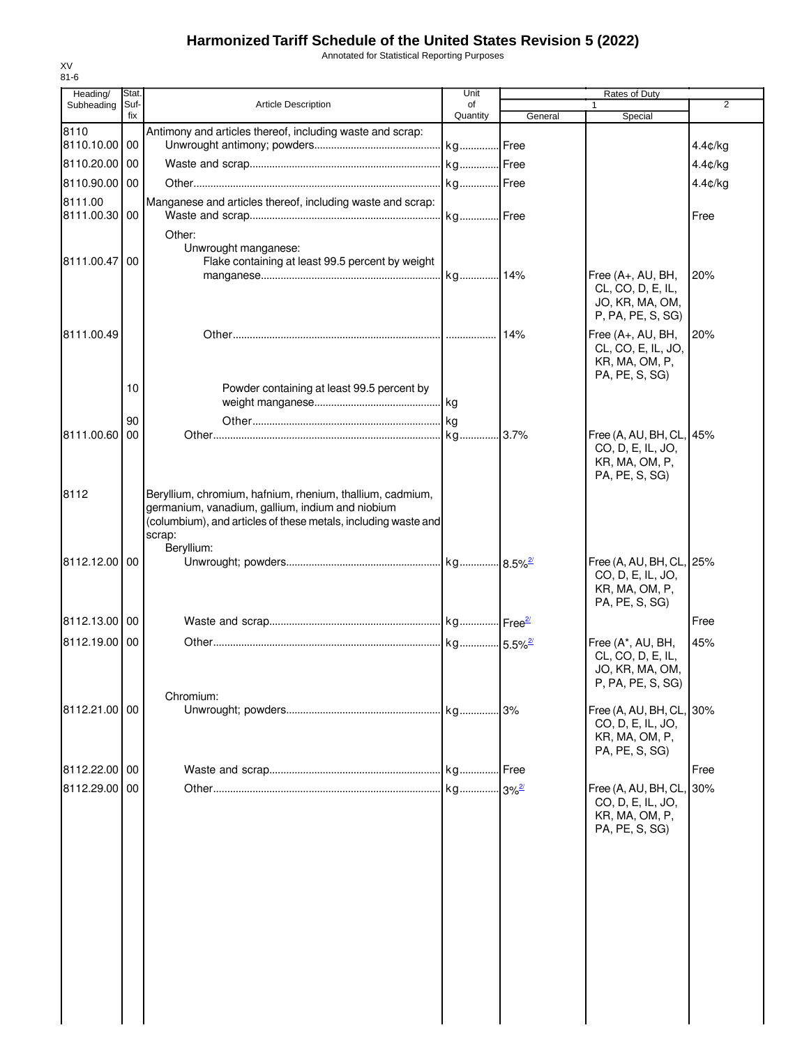Annotated for Statistical Reporting Purposes

| Heading/                 | Stat.       |                                                                                                                                                                                           | Unit           |         | Rates of Duty                                                                     |         |
|--------------------------|-------------|-------------------------------------------------------------------------------------------------------------------------------------------------------------------------------------------|----------------|---------|-----------------------------------------------------------------------------------|---------|
| Subheading               | Suf-<br>fix | <b>Article Description</b>                                                                                                                                                                | of<br>Quantity | General | $\mathbf{1}$<br>Special                                                           | 2       |
| 8110                     |             | Antimony and articles thereof, including waste and scrap:                                                                                                                                 |                |         |                                                                                   |         |
| 8110.10.00 00            |             |                                                                                                                                                                                           |                |         |                                                                                   | 4.4¢/kg |
| 8110.20.00               | 00          |                                                                                                                                                                                           |                |         |                                                                                   | 4.4¢/kg |
| 8110.90.00 00            |             |                                                                                                                                                                                           |                |         |                                                                                   | 4.4¢/kg |
| 8111.00<br>8111.00.30 00 |             | Manganese and articles thereof, including waste and scrap:                                                                                                                                |                |         |                                                                                   | Free    |
| 8111.00.47               | 00          | Other:<br>Unwrought manganese:<br>Flake containing at least 99.5 percent by weight                                                                                                        |                |         | Free (A+, AU, BH,<br>CL, CO, D, E, IL,                                            | 20%     |
|                          |             |                                                                                                                                                                                           |                |         | JO, KR, MA, OM,<br>P, PA, PE, S, SG)                                              |         |
| 8111.00.49               |             |                                                                                                                                                                                           |                | 14%     | Free (A+, AU, BH,<br>CL, CO, E, IL, JO,<br>KR, MA, OM, P,<br>PA, PE, S, SG)       | 20%     |
|                          | 10          | Powder containing at least 99.5 percent by                                                                                                                                                |                |         |                                                                                   |         |
|                          | 90          |                                                                                                                                                                                           |                |         |                                                                                   |         |
| 8111.00.60               | 00          |                                                                                                                                                                                           |                |         | Free (A, AU, BH, CL, 45%<br>CO, D, E, IL, JO,<br>KR, MA, OM, P,<br>PA, PE, S, SG) |         |
| 8112                     |             | Beryllium, chromium, hafnium, rhenium, thallium, cadmium,<br>germanium, vanadium, gallium, indium and niobium<br>(columbium), and articles of these metals, including waste and<br>scrap: |                |         |                                                                                   |         |
| 8112.12.00 00            |             | Beryllium:                                                                                                                                                                                |                |         | Free (A, AU, BH, CL, 25%<br>CO, D, E, IL, JO,<br>KR, MA, OM, P,<br>PA, PE, S, SG) |         |
| 8112.13.00 00            |             |                                                                                                                                                                                           |                |         |                                                                                   | Free    |
| 8112.19.00 00            |             |                                                                                                                                                                                           |                |         | Free (A*, AU, BH,                                                                 | 45%     |
|                          |             | Chromium:                                                                                                                                                                                 |                |         | CL, CO, D, E, IL,<br>JO, KR, MA, OM,<br>P, PA, PE, S, SG)                         |         |
| 8112.21.00 00            |             |                                                                                                                                                                                           | kg             | 3%      | Free (A, AU, BH, CL,<br>CO, D, E, IL, JO,<br>KR, MA, OM, P,<br>PA, PE, S, SG)     | 30%     |
| 8112.22.00 00            |             |                                                                                                                                                                                           |                | Free    |                                                                                   | Free    |
| 8112.29.00 00            |             |                                                                                                                                                                                           |                |         | Free (A, AU, BH, CL,<br>CO, D, E, IL, JO,<br>KR, MA, OM, P,<br>PA, PE, S, SG)     | 30%     |
|                          |             |                                                                                                                                                                                           |                |         |                                                                                   |         |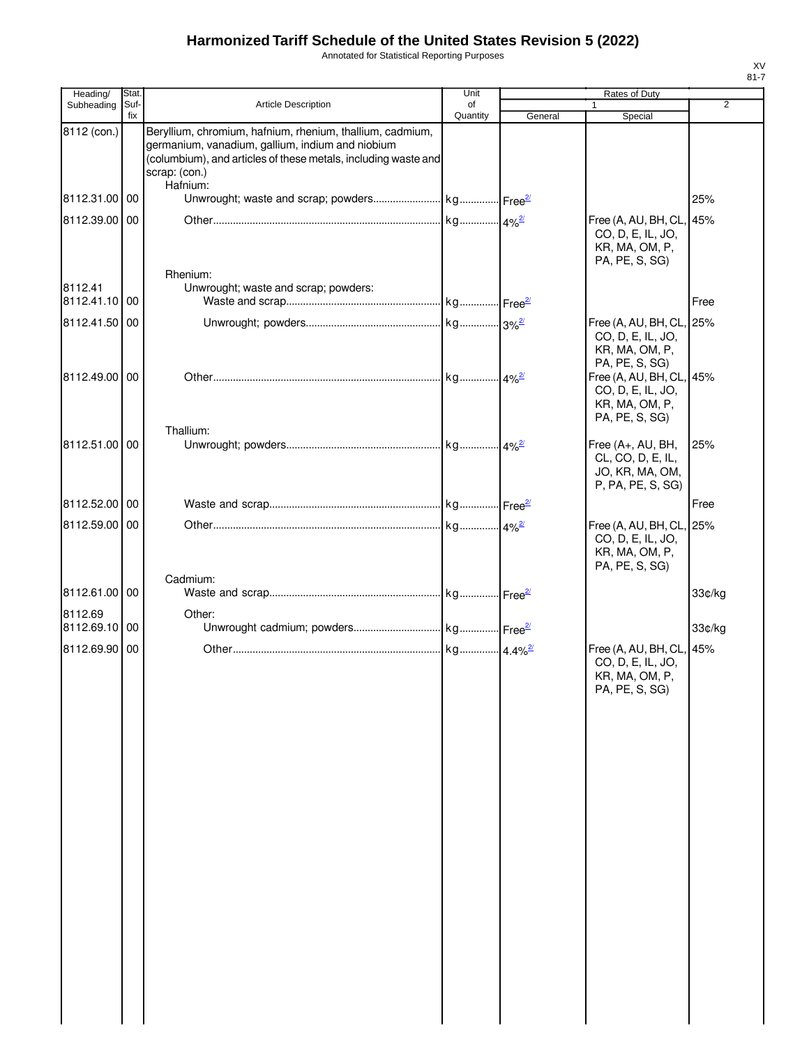Annotated for Statistical Reporting Purposes

| Heading/                 | Stat.       |                                                                                                                                                                                                              | Unit           |         | Rates of Duty                                                                     |                |
|--------------------------|-------------|--------------------------------------------------------------------------------------------------------------------------------------------------------------------------------------------------------------|----------------|---------|-----------------------------------------------------------------------------------|----------------|
| Subheading               | Suf-<br>fix | Article Description                                                                                                                                                                                          | οf<br>Quantity | General | $\mathbf{1}$<br>Special                                                           | $\overline{2}$ |
| 8112 (con.)              |             | Beryllium, chromium, hafnium, rhenium, thallium, cadmium,<br>germanium, vanadium, gallium, indium and niobium<br>(columbium), and articles of these metals, including waste and<br>scrap: (con.)<br>Hafnium: |                |         |                                                                                   |                |
| 8112.31.00 00            |             |                                                                                                                                                                                                              |                |         |                                                                                   | 25%            |
| 8112.39.00 00            |             | Rhenium:                                                                                                                                                                                                     |                |         | Free (A, AU, BH, CL, 45%<br>CO, D, E, IL, JO,<br>KR, MA, OM, P,<br>PA, PE, S, SG) |                |
| 8112.41<br>8112.41.10 00 |             | Unwrought; waste and scrap; powders:                                                                                                                                                                         |                |         |                                                                                   | Free           |
| 8112.41.50 00            |             |                                                                                                                                                                                                              |                |         | Free (A, AU, BH, CL, 25%                                                          |                |
| 8112.49.00 00            |             |                                                                                                                                                                                                              |                |         | CO, D, E, IL, JO,<br>KR, MA, OM, P,<br>PA, PE, S, SG)<br>Free (A, AU, BH, CL, 45% |                |
|                          |             | Thallium:                                                                                                                                                                                                    |                |         | CO, D, E, IL, JO,<br>KR, MA, OM, P,<br>PA, PE, S, SG)                             |                |
| 8112.51.00 00            |             |                                                                                                                                                                                                              |                |         | Free (A+, AU, BH,<br>CL, CO, D, E, IL,<br>JO, KR, MA, OM,<br>P, PA, PE, S, SG)    | 25%            |
| 8112.52.00 00            |             |                                                                                                                                                                                                              |                |         |                                                                                   | Free           |
| 8112.59.00 00            |             |                                                                                                                                                                                                              |                |         | Free (A, AU, BH, CL, 25%<br>CO, D, E, IL, JO,<br>KR, MA, OM, P,<br>PA, PE, S, SG) |                |
| 8112.61.00               | 00          | Cadmium:                                                                                                                                                                                                     |                |         |                                                                                   | 33¢/kg         |
| 8112.69<br>8112.69.10    | 00          | Other:                                                                                                                                                                                                       |                |         |                                                                                   | 33¢/kg         |
| 8112.69.90 00            |             |                                                                                                                                                                                                              |                |         | Free (A, AU, BH, CL, 45%<br>CO, D, E, IL, JO,<br>KR, MA, OM, P,<br>PA, PE, S, SG) |                |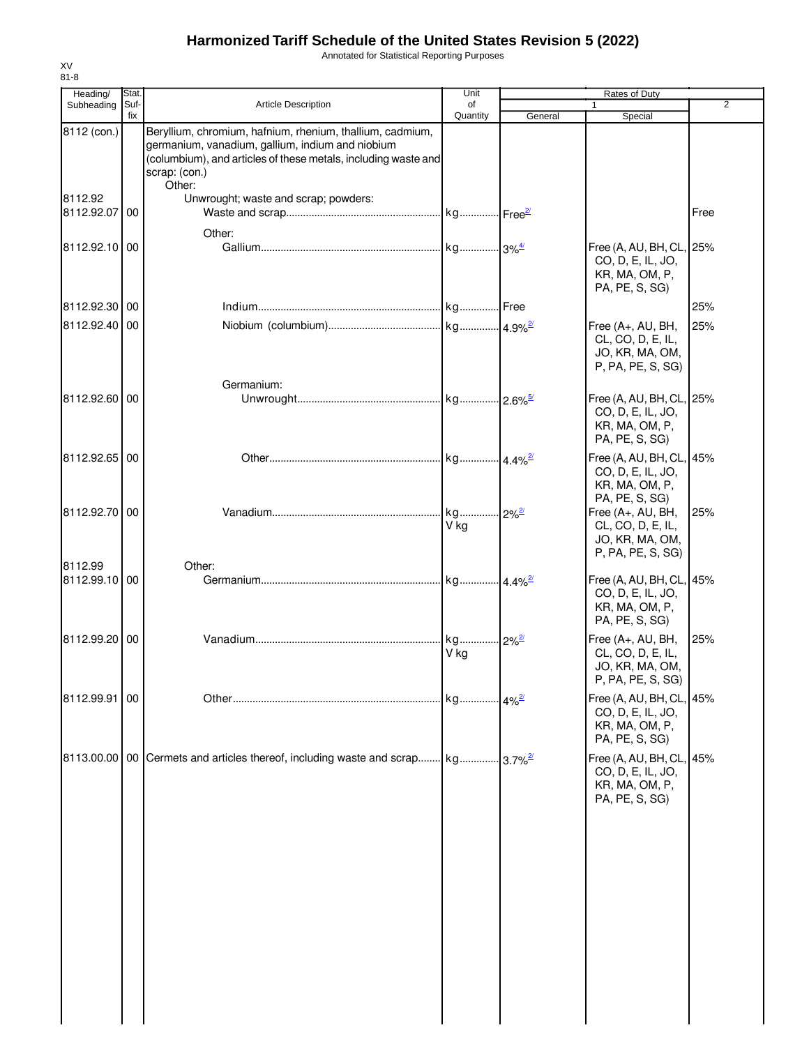Annotated for Statistical Reporting Purposes

| Heading/                 | Stat.       |                                                                                                                                                                                                            | Unit                  |                         | Rates of Duty                                                                     |                |
|--------------------------|-------------|------------------------------------------------------------------------------------------------------------------------------------------------------------------------------------------------------------|-----------------------|-------------------------|-----------------------------------------------------------------------------------|----------------|
| Subheading               | Suf-<br>fix | <b>Article Description</b>                                                                                                                                                                                 | of<br>Quantity        | General                 | Special                                                                           | $\overline{2}$ |
| 8112 (con.)              |             | Beryllium, chromium, hafnium, rhenium, thallium, cadmium,<br>germanium, vanadium, gallium, indium and niobium<br>(columbium), and articles of these metals, including waste and<br>scrap: (con.)<br>Other: |                       |                         |                                                                                   |                |
| 8112.92<br>8112.92.07 00 |             | Unwrought; waste and scrap; powders:                                                                                                                                                                       |                       |                         |                                                                                   | Free           |
| 8112.92.10 00            |             | Other:                                                                                                                                                                                                     |                       |                         | Free (A, AU, BH, CL, 25%<br>CO, D, E, IL, JO,<br>KR, MA, OM, P,<br>PA, PE, S, SG) |                |
| 8112.92.30 00            |             |                                                                                                                                                                                                            |                       |                         |                                                                                   | 25%            |
| 8112.92.40 00            |             |                                                                                                                                                                                                            |                       |                         | Free (A+, AU, BH,<br>CL, CO, D, E, IL,<br>JO, KR, MA, OM,<br>P, PA, PE, S, SG)    | 25%            |
| 8112.92.60 00            |             | Germanium:                                                                                                                                                                                                 |                       |                         | Free (A, AU, BH, CL, 25%<br>CO, D, E, IL, JO,<br>KR, MA, OM, P,<br>PA, PE, S, SG) |                |
| 8112.92.65 00            |             |                                                                                                                                                                                                            | kg 4.4% <sup>2/</sup> |                         | Free (A, AU, BH, CL, 45%<br>CO, D, E, IL, JO,<br>KR, MA, OM, P,<br>PA, PE, S, SG) |                |
| 8112.92.70 00            |             |                                                                                                                                                                                                            | kg<br>V kg            | $12\%$ <sup>2/</sup>    | Free (A+, AU, BH,<br>CL, CO, D, E, IL,<br>JO, KR, MA, OM,<br>P, PA, PE, S, SG)    | 25%            |
| 8112.99<br>8112.99.10 00 |             | Other:                                                                                                                                                                                                     |                       |                         | Free (A, AU, BH, CL, 45%<br>CO, D, E, IL, JO,<br>KR, MA, OM, P,<br>PA, PE, S, SG) |                |
| 8112.99.20 00            |             |                                                                                                                                                                                                            | kg<br>V kg            | $12\%^{2}$              | Free (A+, AU, BH,<br>CL, CO, D, E, IL,<br>JO, KR, MA, OM,<br>P, PA, PE, S, SG)    | 25%            |
| 8112.99.91 00            |             |                                                                                                                                                                                                            | . kg 4% <sup>2/</sup> |                         | Free (A, AU, BH, CL, 45%<br>CO, D, E, IL, JO,<br>KR, MA, OM, P,<br>PA, PE, S, SG) |                |
|                          |             | 8113.00.00   00   Cermets and articles thereof, including waste and scrap kg                                                                                                                               |                       | $.13.7\%$ <sup>2/</sup> | Free (A, AU, BH, CL, 45%<br>CO, D, E, IL, JO,<br>KR, MA, OM, P,<br>PA, PE, S, SG) |                |